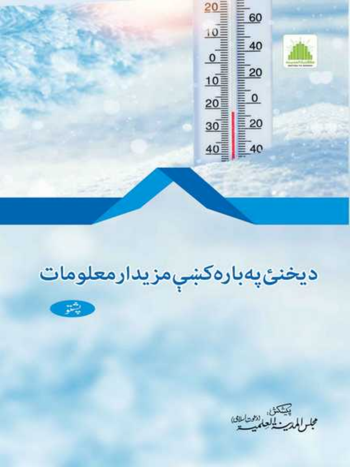20≣ 60  $10\equiv$  $40$  $\overline{0}$ 20  $10<sup>3</sup>$  $\overline{0}$  $20<sup>2</sup>$  $30\overline{\overline{\overline{\overline{\overline{z}}}}}$  $20$  $40\overline{\equiv}$  $\equiv$  40

# ديخنئ پەبارەكښېمزيدارمعلومات



پيشكڻ.<br>مرابع بيسيا انگريكي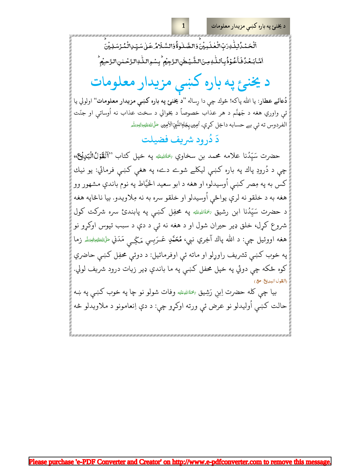د يخنئ په باره کښې مزيدار معلومات

ٱلۡحَـۡمُلۡلّٰهِۚدَبِّالۡعَلَـہِیۡنَ؋َالصَّـٰلُوةُۚوَالسَّـلَامُـۡعَـٰلۡ سَیِّـٰٓلِالۡمُـُرۡسَلِیۡنَ اَمَّابَعۡدُٰفَاۡعُوۡذُبِٱللَّٰهِ مِنَالشَّیۡطٰنِالڗَّجِیۡم ۚ بِسۡوِاللّٰهِ!لڙَحۡمٰنِ!لرَّحِیۡم ۙ

# د یخنئ په باره کښی مزیدار معلومات

دُعائے عطار: يا الله پاكه! څوك چې دا رِساله "د يخنئ په باره كښې مزيدار معلومات" اولولي يا ئې واوري هغه د جَهنَّم د هر عذاب خصوصاً د يخوالي د سخت عذاب نه اُوساتې او جنّت الفردوس ته ئي بے حسابه داخِل كري. اُمِين بِجَاوِالنَّبِيِّ الأمِين صَلَىٰاللهُءَلَيْهِ الصَّدَّهِ

#### دَ دُرود شريف فضيلت

حضرت سَيِّدُنا علامه محمد بن سخاوي ﷺ په خپل کتاب "اَلْقَوْلُالْبَدِيْجْ، چې د دُرودِ پاك په باره كښې ليكلے شوے دے، په هغې كښې فرمائي: يو نيك کس به په مِصر کښي اُوسيدلو، او هغه د ابو سعيد الخيَّاط په نوم باندې مشهور وو هغه به د خلقو نه لرې يواځي اُوسيدلو او خلقو سره به نه مِلاويدو. بيا ناڅاپه هغه د حضرت سَيِّدُنا ابن رشيق <sup>په</sup>ئاللهِﷺ په محفِل کښې په پابندئ سره شرکت کول شروع کړل، خلق ډير حيران شول او د هغه نه ئې د دې د سبب تپوس اوکړو نو هغه اووئيل چې: د الله پاك آخِري نبي، مُعَمَّىٰ عَــرَبِــي مَـگِــ<sub>ـى</sub> مَدَني <del>مَلَالله عليه م</del>الله ع په خوب کښي تشريف راوړلو او ماته ئې اوفرمائيل: د دوئې محفِل کښي حاضري کوه ځکه چې دوئي په خپل محفل کښې په ما باندې ډير زيات درود شريف لولي. (القدل البديع, ص

بيا چې كله حضرت اِبنِ رَشِيق ﷺ وفات شولو نو چا په خوب كښې په ښه حالت کښې اُوليدلو نو عرض ئې ورته اوکړو چې: د دې اِنعامونو د ملاويدلو څه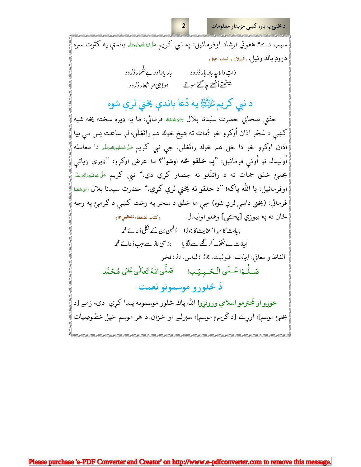د یخنئ په باره کښی مزیدار معلومات

سبب دے؟ هغوئي ارشاد اوفرمائيل: په نبي کريم ﴿اللَّهُ عَلَيْهِ الْبَصَلَهِ باندې په کثرت سره درودِ ياك وئيل. «الصلاتوالبشر، ص١»

 $\overline{2}$ 

| بار باراور بے شمار دُرُود | ذاتِ والا په بار بار دُرُود |
|---------------------------|-----------------------------|
| ہو إلٰہی مراشعار دُرُ ود  | ببيٹھتےأٹھتے جاگتے سوتے     |

د نبي كريمﷺ په دُعا باندې يخني لرې شوه

جنّتي صحابي حضرت سيّدنا بلال ﷺﷺ فرمائي: ما په ډيره سخته يخه شپه کښي د سَحَر اذان اُوکړو خو جُمات ته هيڅ څوك هم رانَغلَل، لږ ساعت پس مې بيا اذان اوكړو خو دا ځل هم څوك رانَغلل. چې نبي كريم <sup>صَ</sup>لَاللهﷺ دا معامله اُوليدله نو اُوئي فرمائيل: "**په خلقو څه اوشو**"؟ ما عرض اوکړو: "ډيرې زيات<sub>ي</sub> يخنئ خلق جمات ته د راتلَلو نه حِصار کړي دي." نبي کريم مَلَ اللهءَليَهِ زالهږيَلَه اوفرمائيل: **يا الله پاكه**! ''**د خلقو نه يخنى لرې كړې.''** حضرت سيدنا بلال *پنجالل*خق<sup>ه</sup> فرمائي: (يخني داسي لرې شوه) چې ما خلق د سحر په وخت کښې د ګرمئ په وجه ځان ته په ببوزي [پڪي] وهلو اوليدل. (كتأب الضعفأء للعقيلي؟)

اِجائ<sup>ی</sup>ت کا سہر ا<sup>،</sup> عنایت کا جوڑا گ<sup>ولہ</sup>ن بن کے نکلی دُعائے محم*ہ* اِحابَت نے جُھک کر گلے سے لگا ما سے بڑھی ناز سے جب دُعائے محم*د* 

الفاظ و معاني اِعِهْت قبوليت جُرُا لباس ناز فخر صَلَّىاللَّهُ تَعَالٰى عَلٰى مُحَمَّد صَلُّوۡا عَـلَى الۡحَـبِيۡبِ!

دَ څلوړو موسمونو نعمت

خوږو او مُحترمو اسلامي ورونړو! الله پاك څلور موسمونه پيدا كري دي، ژمے [د يخنبئ موسم]، اورے [د گرمیٔ موسم]، سپرلے او خزان.د هر موسم خپل خصُوصِیات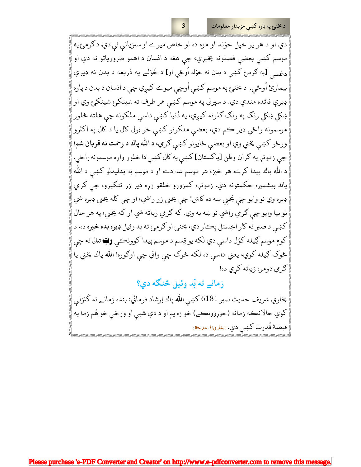دي او د هر يو خپل خوَند او مزه ده او خاص ميوے او سبزيانې ئې دي. د گرمئ په موسم کښې بعضې فصلونه پخيږي، چې هغه د انسان د اهمو ضرورياتو نه دي او دغس<sub>ي</sub> [په ګرمئ کښې د بدن نه خوَله اُوځي او] د خَوَلے په ذريعه د بدن نه ډيرې بيمارئ اُوځي. د يخنئ په موسم کښې اُوچي ميوے کيږي چې د انسان د بدن د پاره ډيرې فائده مندې دي. د سپرلي په موسم كښى هر طرف ته شينكئ شينكئ وي او ښکلي ښکلي رنګ په رنګ ګلونه کيږي، په دُنيا کښې داسې ملکونه چې هلته څلور موسمونه راځي ډير ڪم دي، بعضي ملکونو کښې خو ټول کال يا د کال په اکثرو ورځو کښې يخني وي او بعضې ځايونو کښې ګري، د الله پاك د رحمت نه قربان شم! چې زمونږ په ګران وطن [پاکستان] کښې په کال کښې دا څلور واړه موسمونه راځي. د الله پاك پيدا كړے هر څيز، هر موسم ښه دے او د موسم په بدليدلو كښې د الله پاك بيشميره حكمتونه دي. زمونږه كمزورو خلقو زړه ډير زر تنګيږو، چي ګرمي ډيره وي نو وايو چې يَخني ښه ده کاش! چې يخني زر راشي، او چې کله يخني ډيره شي نو بيا وايو چې ګرمي راشي نو ښه به وي. که ګرمي زياته شي او که يخني، په هر حال کښې د صبر نه کار اخِستل پڪار دي، يخنئ او ګرمئ ته بد وئيل **ډيره بده خبره** ده، د کوم موسم ګِيله کوَل داسې دي لکه يو قِسم د موسم پيدا کوونڪي **رُبّ** تعالى نه چې څوک ګِيله کوي، يعني داسې ده لکه څوک چې وائي چې اوګوره! الله پاك يخني يا گرمي دومره زياته كري ده!

3

زمانے ته بَد وئیل څنگه دي؟

بخاري شريف حديث نمبر 6181 كښې الله پاك اِرشاد فرمائي: بنده زمانے ته گنزلي کوي حالانڪه زمانه (جوړوونڪے) خو زه يم او د دې شپې او ورځې خو هُم زما په قبضة قُدرت كښي دي. ربغاريءُ صديثه )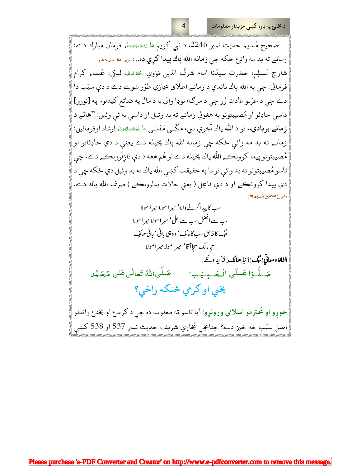د يخنئ په باره کښې مزيدار معلومات

صحيح مُسلِم حديث نمبر 2246، د نبي كريم صَلَالة عَلِيدَالهِمَتَلِهِ فرمان مبارك دے: زمانے ته بد مه وائئ ځکه چې **زمانه الله پاك پيدا كړي ده.** رسْلِم ه ه حديثه، شارج مُسلِم، حضرت سيدُنا امام شرفُ الدّين نوَوي ﷺ ليكي: عُلماءِ كرام فرمائي: چي په الله پاك باندې د زمانے اطلاق مجازي طوَر شوے دے د دې سبَب دا دے چې د عرَبو عادت وُو چې د مرګ، بوډا والي يا د مال په ضائع کيدلو، په [نورو] داسي حادِثو او مُصيبتونو به هغوئي زمانے ته بد وئيل او داسي به ئي وئيل: ''هائے د **زمانے بربادي،،** نو د الله پاك آخِري نبي، مگِّــي مَدَنــي مَـلَالله، عَليهِ:الهِمَتْه اِرشاد اوفرمائيل: زمانے ته بد مه وائي ځکه چې زمانه الله پاك پخپله دے يعني د دې حادِثاتو او مُصيبتونو پيدا کوونڪے الله پاك پخپله دے او هُم هغه د دې نازِلَوونڪے دے، چې تاسو مُصيبتونو ته بد وائي نو دا په حقيقت كښې الله پاك ته بد وئيل دي ځكه چې د دې پيدا كوونكے او د دې فاعِل ( يعني حالات بدلوونكے ) صرف الله پاك دے. (شرح صحيح مُسلِمِ ٣)

سب کا پیدا کرنے والا' میر ا مولا میر ا مولا سب سے افضل سب سے اعلٰی' میر امولا میر امولا حبگ کا خالیق سب کا مالک ' وہ ہی باقی ' باقی ھالکِ سجا مالك سجاآ قا' مير ا مولا مير امولا الفاظ ومعاني: حَبَّك: دُنيا حالك : فناكيد دئے .

صَلَّىاللهُ تَعالٰىعَكِ مُحَمَّد صَلَّـٰوَٰا عَــلَى الْـحَــبِـيۡـب!

يخني او گرمي څنگه راځي؟

خوږو او محترمو اسلامي ورونړو! آيا تاسو ته معلومه ده چې د ګرمئ او يخنئ راتللو اصل سبَب څه څيز دے؟ چنانچې بُخاري شريف حديث نمبر 537 او 538 كښې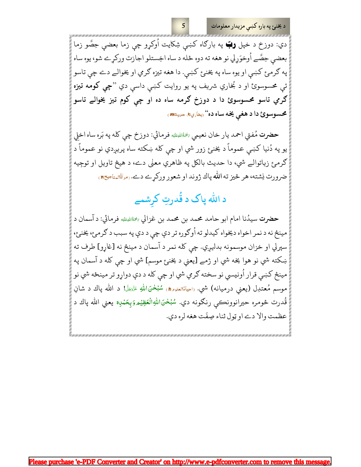د يخنئ په باره کښې مزيدار معلومات

دي: دوزخ د خپل **رټ** په بارګاه کښې شِکايت اُوکړو چې زما بعضې حِصَّو زما بعضي حِصَّے اُوخوَرلي نو هغه ته دوه ځله د ساه اخِستلو اجازت وركرے شو، يوه ساه په ګرمئ کښې او يوه ساه په يخنئ کښې. دا هغه تيزه ګرمي او يخوالے دے چې تاسو ئې محسوسوئ او د بُخاري شريف په يو روايت کښې داسې دي "**چې کومه تيزه** ګرمي تاسو محسوسوئ دا د دوزخ ګرمه ساه ده او چې کوم تیز یخوالے تاسو محسوسوئ دا د هغې يخه ساه ده" <sub>(بخاري ۹</sub>۱ صري<sup>ي</sup> په

حضرت مُفتى احمد يار خان نعيمي ﷺ فرمائي: دوزخ چي كله په بَره ساه اخلي يو په دُنيا کښې عموماً د يخنئ زور شي او چې کله ښکته ساه پريږدي نو عموماً د ګرمۍ زياتوالے شي، دا حديث بالکل په ظاهري معنی دے، د هيڅ تاويل او توجِيه ضرورت نِشته، هر څيز ته الله پاك ژوند او شعور وركړے دے. رمراةُالمناجيح، )

# د الله پاک د قُدرتِ کرشمے

حضرت سيدُنا امام ابو حامد محمد بن محمد بن غزالي پخمَاْللهِمَنَه فرمائي: د آسمان د مينځ نه د نمر اخواه ديخواه كيدلو ته اُوګوره تر دې چې د دې په سبب د ګرمئ، يخنئ، سپرلي او خزان موسمونه بدليږي. چې كله نمر د آسمان د مينځ نه [غاړو] طرف ته ښکته شي نو هوا يخه شي او ژمے [يعني د يخنئ موسم] شي او چې کله د آسمان په مينځ کښې قرار اُونيسي نو سخته ګرمي شي او چې کله د دې دواړو تر مينځه شي نو موسم مُعتدِل (يعني درميانه) شي. <sub>(احياءُالعلوم&، سُُبُ</sub>حْنَlللهِ ءَزَيَجَلَ! د الله پاك د شانِ قُدرت څومره حيرانوونڪي رنگونه دي. سُنُبلحَنَاللهِالُعَظِيُمروَبِحَمْدِه يعني الله پاك د عظمت والا دے او ټول ثناء صِفَت هغه لره دي.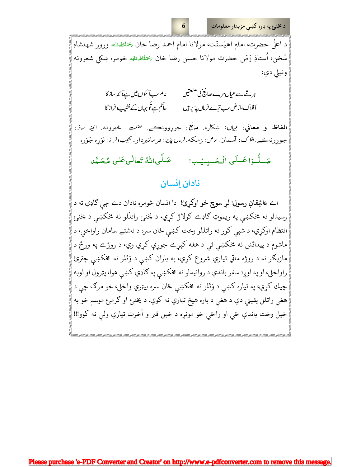د يخنئ په باره کښې مزيدار معلومات

د اعلٰی حضرت، امامِ اهلِسنّت، مولانا امام احمد رضا خان ﷺﷺ ورور شهنشاهِ سُخن، اُستاذِ زَمَن حضرت مولانا حسن رضا خان ﷺ ڠومره ښكلى شعرونه وئيلي دي:

6

ہر شے سے عیاں مرے صانع کی صنعتیں عالم سب<del>ا</del> ئىوں میں ہےآئند ساز کا حآکم ہے تو جہاں کے نشیب وفراز کا أفلاك وأرض سب ترے فرماں پذیر ہیں

الفاظ و معاني: عِيال: ښکاره صانع: جوړوونڪے. صحت: څيزونه اُنَيْنہ ساز: جورونڪے .افلاک: آسمان ارض: <sub>ذ</sub>مکه فرماں ن*ڍيہ*: فرمانبردار . نشيبوفراز . لوَره جَوَره صَلَّىاللَّهُ تَعالٰى عَلٰى مُحَمَّد صَلُّـوۡا عَـلَى الۡـحَـبِـيۡب!

#### نادان اِنسان

امے عاشِقانِ رسول! لږ سوچ خو اوکړئ! دا انسان څومره نادان دے چي گاډي ته د رسيدلو نه مخکښې په ريموټ ګاډے کولاؤ کړي، د يَخنئ راتلَلو نه مخکښې د يخنئ انتظام اوکړي، د شپي کور ته راتللو وخت کښي ځان سره د ناشتے سامان راواخلي، د ماشوم د پيدائش نه مخکښې ئې د هغه کپړے جوړې کړي وي، د روژے په ورځ د مازيګر نه د روژه ماتي تياري شروع کړي، په باران کښې د وَتَلو نه مخکښې چترئ راواخلي، او په اوږد سفر باندې د روانيدلو نه مخکښي په ګاډي کښي هوا، پټرول او اوبه چيك كړي، په تياره كښې د وَتَلو نه مخكښې ځان سره بيټري واخلي، خو مرګ چې د هغې راتلل يقيني دي د هغې د پاره هيڅ تياري نه کوي. د يخنئ او ګرمئ موسم خو په خپل وخت باندې ځي او راځي خو مونږه د خپل قبر و آخرت تياري ولې نه كوو!!!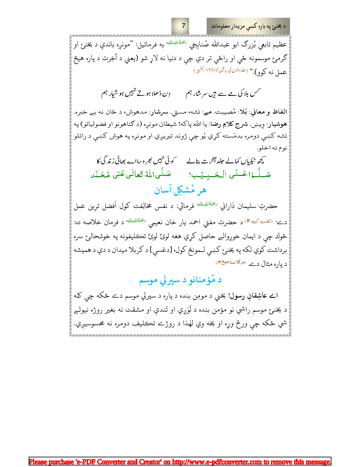د يخنئ په باره کښې مزيدار معلومات

عظیم تابعی بُزرگ ابو عبدالله صُنابجی <sup>پخمَهٔاللهِ عَلَنِه به فرمائیل: ''مونږه باندې د یخن<sub>و</sub>ع او</sup> ګرمئ موسمونه ځي او راځي تر دې چې د دنيا نه لاړ شو (يعني د آخِرت د پاره هيڅ عمل نه کوو)." (الله *دالوں کی باتیں*'ہ/۶۶۶<sup>: تغ</sup>یر)

دِن ڈھلا ہوتے نہیں ہو شیار ہم <sup>حمس</sup> بلا کی مے سے ہیں سرشار ہم

الفاظ و معاني: بَلا: مُصيبت. مے: نشه، مستي. سرشار: مدهوش، د ځان نه بے خبره. هوشيار: وِيښ. شرح كلامِ رضا: يا الله پاكه! شيطان مونږه (د كناهونو او فضولياتو) په نشه کښې دومره بدمَسته کړي يُو چې ژوند تيريږي او مونږه په هوش کښې د راتلو نوم نه اخلو.

کچھ نیکیاں کمالے جلد آخرت بنالے کوئی نہیں بھروسااے بھائی زندگی کا صَلَّىاللَّهُ تَعَالٰىعَكِ مُحَمَّد صَلَّـوۡا عَـلَى الۡـحَـبِـيۡب! هر مُشکِل آسان

حضرتِ سليمان دَاراني ﷺ فرمائي: د نفس مخالِفت کول اَفضل ترِين عمل دے<sup>. ر</sup>تفس<sup>یرکبیر</sup>ال<sup>ی</sup> د حضرت مفتي احمد یار خان نعیمی <sup>پختهٔاللهِطَنه د فرمان خلاصه ده:</sup> څوك چې د ايمان خوږوالے حاصل كړي هغه لوئ لوئ تكليفونه په خوشحالئ سره برداشت كوي لكه په يخنئ كښي لـمونځ كول، [دغسي] د كربلا ميدان د دې د هميشه د پاره مثال دے. (مراقالمناجيح

د مُؤمنانو د سپرلي موسم

امے عاشِقانِ رسول! یخني د مومِن بنده د پاره د سپرلي موسم دے ځکه چې کله د يخنئ موسم راشي نو مؤمن بنده د لَوَږې او تَندې او مشقت نه بغير روژه نيولے شي ځکه چې ورځ وړه او یخه وي لهذا د روژے تڪليف دومره نه محسوسيږي.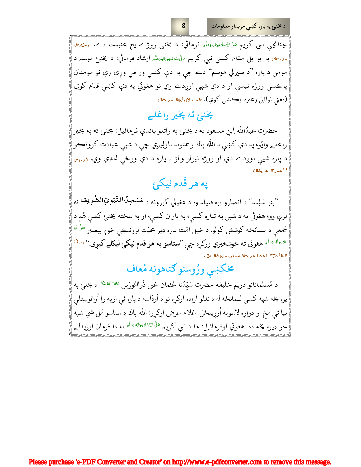چنانچی نبي کريم <sup>صَ</sup>لَاللهءَلن<u>هوَاللهوَسَلَّه</u> فرمائي: د يخن<sub>و</sub>ع روژے يخ غنيمت دے. <sub>(</sub>ترمذي<del>ه)</del> <sub>حديث</sub>»<sub>)</sub> په يو بل مقام کښې نبي کريم <sup>ص</sup>َلَ<sub>ّال</sub>لهءَ<sub>ل</sub>َهِيراله<sub>ِتَتلَّه ارشاد فرمائي: د يخنبئ موسم د</sub> مومن د پاره "**د سپرلي موسم**" دے چې په دې کښې ورځې وړې وي نو مومنان پڪښې روژه نيسي او د دې شپې اوږدے وي نو هغوئي په دې کښې قيام کوي (يعني نوافِل وغيره پڪښي کوي). رشعبالايمان<del>ه</del> صيثی

8

### یخنئ ته پخیر راغلے

حضرت عبدُالله اِبنِ مسعود به د يخنئ په راتلو باندې فرمائيل: يخنئ ته په پخير راغلے وايُو، په دې كښې د الله پاك رحمتونه نازلِيږي چې د شپې عبادت كوونكو د پاره شپې اوږدے دي او روژه نيولو والؤ د پاره د دې ورځې لنډې وي. <sub>(فردو</sub>س الاخبارة. حديثة)

## په هر قَدم نيکئ

"بنو سَلِمه" د انصارو يوه قبيله وه د هغوئي کورونه د **مَسْجِدُ**النَّبَوِيِّالشَّـرِيف <sub>نه</sub> لرې وو، هغوئي به د شپې په تياره کښې، په باران کښې، او په سخته يخنئ کښې هُم د جَمعې د لــمانځه کوشش کولو. د خپل امّت سره ډير محبّت لرونڪي خوږ پيغمبر <sup>صَلَالل</sup>ُه <sup>عَلَيْهِ َالْهُ<sup>تِسَلَّم</sup> هغوئي ته خوشخبري وركړه چې "**ستاسو په هر قدم نيكئ ليكلے كيږي.**" (مرقا<sup>ة</sup></sup> المفاتيحi⁄). تحت الحديث×. مسلم، حديث&،

# مخكښي ورُوستو گناهونه مُعاف

د مُسلمانانو دريم خليفه حضرت سَيِّدُنا عُثمان غني ذُوالنُّورَين <sup>يَهِي</sup>َاللُّ<sup>مَنَّة</sup> د يخنئ په يوه يخه شپه کښې لـمانځه له د تللو اراده اوکړه نو د اَودَاسه د پاره ئې اوبه را اُوغوښتلې بيا ئي مخ او دواړه لاسونه اُووِينځل. غلام عرض اوكړو: الله پاك دِ ستاسو مَل شي شپه خو ډيره يخه ده. هغوئي اوفرمائيل: ما د نبي کريم <sup>صَلَّى اللهءَلَن<sup>يوزال</sup>ه<sup>وَسَلَّم</sup> نه دا فرمان اوريدلے</sup>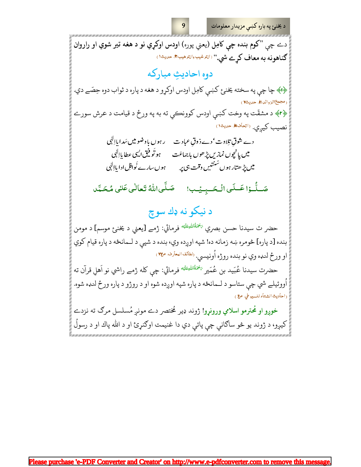د يخنئ په باره کښې مزيدار معلومات دے چې "کوم بنده چې کامِل (يعني پوره) اودس اوکړي نو د هغه تير شوي او راروان گناهونه به معاف کرے شي." <sup>(التر</sup>غيبوالترهيب، صي*خ*د) دوه احاديثِ مباركه ۷۴) چا چې په سخته يخنئ کښې کامِل اودس اوکړو د هغه د پاره د ثواب دوه حِصّے دي. (مجمع الزوائل)، حليث ٧ ۴۶﴾ د مشقّت په وخت کښې اودس کوونکي ته به په ورځ د قيامت د عرش سورے نصيب كيري. <sup>(اتحاف،</sup> حديثه) ر ہوں باوضومیں سَدا پااِلٰی دے شوق تلاوت' دے ذوق عباد ت ہو تو فیق ایسی عطا پاالہی میں یا نیچوں نمازیں پڑ ھوں باجماعَت میں پڑ ھتار ہوں سُنتیں وقت ہی پر ہوں سارے نُوافِل ادا باإلٰہی صَلَّىاللَّهُ تَعالٰى عَلٰى مُحَمَّد صَلَّوْا عَسَلَى الْحَسِيِيْبِ! د نيکو نه ډك سوچ حضر ت سيدنا حسن بصري <sup>پخمَقُاللهِطَيَه فرمائي: ژمے [يعني د يخن<sub>وع</sub> موسم] د مومن</sup> بنده [د پاره] څومره ښه زمانه ده! شپه اوږده وي، بنده د شپې د لـمانځه د پاره قيام كوي او ورځ لنډه وي نو بنده روژه اُونيسي. <sup>رلطائف البعارف ص</sup> حضرت سيدنا عُبَيد بن عُمَير <sup>يَحْمَةُاللهِطَيَّه فرمائي: چې كله ژمے راشي نو اَهلِ قرآن ته</sup> اُووئيلے شي چې ستاسو د لــمانځه د پاره شپه اوږده شوه او د روژو د پاره ورځ لنډه شوه. (احاديث الشتاء للسيوطي. ص ) <mark>خوږو او مُحترمو اسلامي ورونړو!</mark> ژوند ډیر مُختصر دے مونږ مُسلسل مرګ ته نزدے کيږو، د ژوند يو څو ساګانې چې پاتې دي دا غنيمت اوګنړئ او د الله پاك او د رسولُ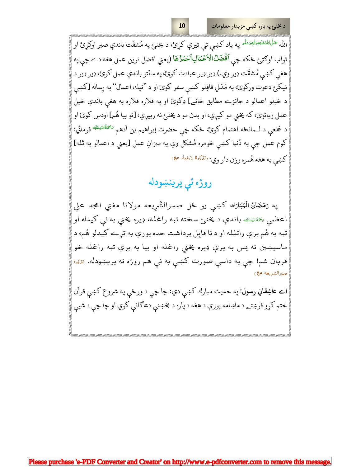الله <sup>صَلّىٰالله عَلَّيْ اللهُ عَليْهِ وَاللهُ عَلَيْهِ عَلَى تَيْرِي كَرِئ، د يخنئ په مُشقّت باندې صبر اوكړئ او</sup> ثواب اوكتيئ حْكه چي اَفْضَلُ'الْاَعْمَالِاَحْمَدُكَا (يعني افضل ترين عمل هغه دے چي په هغي كښى مُشقّت ډير وي.) ډير ډير عبادت كوئ، په سنّتو باندې عمل كوئ، ډير ډير د نيکر ع دعوت ورکوئ، په مَدَني قافِلو کښې سفر کوئ او د "نيك اعمال" په رِساله [کښې د خپلو اعمالو د جائزے مطابق خانے] ډکوئ او په قلاره قلاره په هغې باندې خپل عمل زياتوئ، كه يخني مو كيږي، او بدن مو د يخنئ نه رپيږي، [نو بيا هُم] اودس كوئ او د جَمعي د لــمانځه اهتمام کوئ، ځکه چې حضرت اِبراهيم بن اَدهم <sup>پخمَةُاللهِطَيَّة فرمائي:</sup> كوم عمل چي په دُنيا كښي څومره مُشكل وي په ميزانِ عمل [يعني د اعمالو په تَله] كښې به هغه هُمره وزن دار وي· نتلكِئالاولياء مهي

### روژه ئې پرينښودله

په رَمَضَانُ الْمُبَارَك كښى يو ځل صدرالشَّرِيعه مولانا مفتى امجد على اعظمي ﷺالله باندې د يخنئ سخته تبه راغله، ډيره يخني به ئې كيدله او تبه به هُم پرې راتلله او د نا قابِل برداشت حده پورې به تږے کیدلو هُم، د ماسپښين نه پس به پرې ډيره يخني راغله او بيا به پرې تبه راغله خو قربان شم! چې په داسې صورت کښې به ئې هم روژه نه پريښودله. <sub>(تلک</sub>ره صدرالشريعه ص

ام عاشِقانِ رسول! په حديث مبارك كښې دي: چا چې د ورځې په شروع كښې قرآن ختم کړو فرښتے د ماښامه پورې د هغه د پاره د بخښنې دعاګانې کوي او چا چې د شپې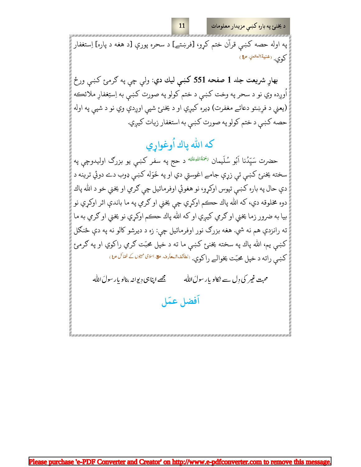د یخنئ په باره کښی مزیدار معلومات

په اوله حصه کښي قرآن ختم کړو، [فرښتے] د سحره پورې [د هغه د پاره] اِستغفار كوى. (غنيةالعتعلي ص؟)

بهار شريعت جلد 1 صفحه 551 كښى ليك دي: ولې چې په ګرمئ كښې ورځ اُوږده وي نو د سحر په وخت کښې د ختم کولو په صورت کښې به اِستِغفارِ ملائڪه (يعني د فرِښتو دعائے مغفرت) ډيره کيږي او د يخنئ شپې اوږدې وي نو د شپې په اوله حصه کښې د ختم کولو په صورت کښې به استغفار زيات کيږي.

# كه الله پاك اُوغواړي

حضرت سَيِّدُنا اَبُو سُلَيمان ﷺ د حج په سفر کښې يو بزرګ اوليدوچې په سخته يخنئ کښې ئې زړې جامے اغوستي دي او په خَوَله کښې ډوب دے دوئي ترينه د دې حال په باره کښي تپوس اوکړو، نو هغوئي اوفرمائيل چي ګرمي او يخني خو د الله پاك دوه مخلوقه دي، كه الله پاك حڪم اوكړي چي يخني او گرمي په ما باندې اثر اوكړي نو بيا به ضرور زما يخني او ګرمي کيږي او که الله پاك حڪم اوکړي نو يخني او ګرمي به ما ته رانزدې هم نه شي. هغه بزرګ نور اوفرمائيل چي: زه د ديرشو کالو نه په دې ځنګل کښي يم، الله پاك په سخته يخنئ کښي ما ته د خپل محبّت ګرمي راکوي او په ګرمئ کښې راته د خپل محبّت يخوالے راکوي. <sup>ر</sup>لطائفالمعارف <del>مچ الثان مي</del>يوں *ک ففائل م*ل

محبت غیر کی دِل سے نکالو یار سولَ الله مجھے اپناہی دیوانہ بنالو پار سولَ اللّٰہ

أفضل عمَل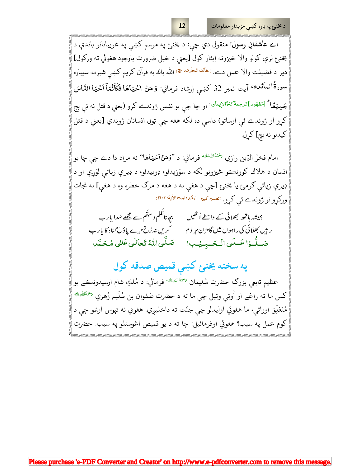امے عاشقانِ رسول! منقول دي چې: د یخنۍٔ په موسم کښې په غریبانانو باندې د يخنئ لرې كولو والا څيزونه اِيثار كول [يعني د خپل ضرورت باوجود هغوئي ته وركول] ډير د فضيلت والا عمل دے. <sup>(لطائف البعارف ع</sup>ه) الله پاك په قرآن كريم كښې شپږمه سيپاره سورةُالـمائلـدة، آيت نمبر 32 كـبسي اِرشاد فرمائي: وَ مَنْ أَحْيَاهَا فَكَأَنَّمَآ أَحْيَا النَّاسَ جَمِيۡهَا ؕ لَ<sup>مَفهُوم</sup>َاترجن<sup>ي</sup>َ *ک*نزُالاِيبَان ٰ او چا چې يو نفس ژوندے کړو (يعني د قتل نه ئې بچ کړو او ژوندے ئې اوساتو) داسې ده لکه هغه چې ټول انسانان ژوندي [يعني د قتل كيدلو نه بچ] كړل.

امام فخرُ الدِّين رازي <sup>پخمَةُاللهِ<sup>يَلَي</sup>َه فرمائي: د ''**وَمَنْiکميَاهَا**'' نه مراد دا دے چې چا يو</sup> انسان د هلاك كوونكو څيزونو لكه د سوَزيدلو، ډوبيدلو، د ډيرې زياتې لوَږې او د ډيرې زياتې ګرمئ يا يخنئ [چې د هغې نه د هغه د مرګ خطره وه د هغې] نه نجات وركړو نو ژوندے ئې كړو. ‹تفسيركبير. البائده تحتالأية: التق)

ہمیشہ ہاتھ بھلائی کے واسطے اُنٹھیں ہے بیجاناظُلم وسِتُم سے مجھے سَدا یار ب ر *ہیں بھل*ائی کی راہوں میں گامزن <sub>مہر</sub> دَم *گریں نہ رُخ م<sub>ر</sub>ے* پاؤ*ں گن*اہ کا یار ب صَلَّىاللَّهُ تَعَالٰی عَلی مُحَمَّد صَلَّدُا عَسَلَى الْحَسِيُب!

### په سخته یخنئ کښې قمیص صدقه کول

عظيم تابعي بزرګ حضرت سُليمان <sup>پنچئهٔاللهِ<sup>يَلي</sup>ه فرمائي: د مُلكِ شام اوسيدونڪے يو</sup> کس ما ته راغے او اُوئې وئيل چې ما ته د حضرت صَفوان بن سُلَيم زُهري <sup>پخمَةُاللهِطَيّه</sup> مُتَعَلِّق اووائي، ما هغوئي اوليدلو چې جنّت ته داخليږي. هغوئي نه تپوس اوشو چې د كوم عمل په سبب؟ هغوئي اوفرمائيل: چا ته د يو قميص اغوستلو په سبب. حضرت

 $12$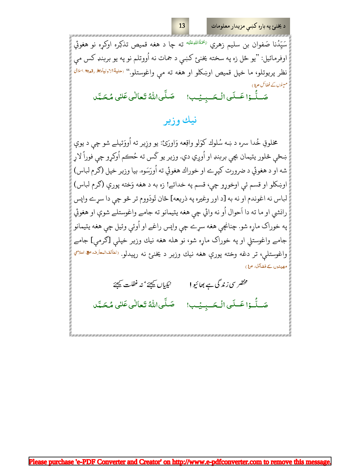د يخنئ په باره کښې مزيدار معلومات

سَيِّدُنا صَفوان بن سليم زهري <sup>پختڤالڤيطَيَّه ته چا د هغه قميص تذکِره اوکړه نو هغوئي</sup> اوفرمائيل: "يو ځل زه په سخته يخنئ كښې د جمات نه اُووتلم نو په يو بربنډ كس مى نظر پريوتلو، ما خپل قميص اوښكلو او هغه ته مې واغوستلو." <sup>(حلية</sup>الاوليا<del>ء»</del> رقمۍ ا*لثال* مبینوں کے فضائل ص(ے

صَلَّىاللَّهُ تَعالٰى عَلٰى مُحَمَّد صَلَّدُا عَـلَى الْـحَـبِيبُ!

### نيك وزير

مخلوقِ خُدا سره د ښه سُلوك كوَلو واقِعه وَاورَئ: يو وزِير ته اُووَئيلے شو چې د يوې ښځي څلور يتيمان بچي بربنډ او اُوږي دي. وزير يو کَس ته حُڪم اُوکړو چي فوراً لاړ شه او د هغوئي د ضرورت كپړے او خوراك هغوئي ته اُورَسَوه. بيا وزير خپل (كرم لباس) اوښكلو او قسم ئې اوخوړو چې، قسم په خدائے! زه به د هغه وَخته پورې (گرم لباس) لباس نه اغوندم او نه به [د اور وغيره په ذريعه] ځان تَودَووم تر څو چې دا سړے واپس رانشي او ما ته دا اَحوال اُو نه وائي چي هغه يتيمانو ته جامے واغوستلے شوې او هغوئي په خوراک ماړه شو. چنانچي هغه سړے چي واپس راغے او اُوئي وئيل چي هغه يتيمانو جامے واغوستلی او په خوراک ماړه شو، نو هله هغه نيك وزير خپلې [ګرمې] جامے واغوستلې، تر دغه وخته پورې هغه نيك وزير د يخنئ نه رپيدلو. <sup>رلطائف</sup>البعارف <del>م</del> اسلامي مھیندوں کے فضائل، ص۱)

مختصر سی زندگی ہے بھائیو! نيكيا*ل يُعِيَرُ* مُذ غفلت <u>يَعِيَ</u>جُ صَلَّىاللَّهُ تَعالٰى عَلٰى مُحَمَّد صَلُّوۡا عَـلَى الۡحَـبِيۡب!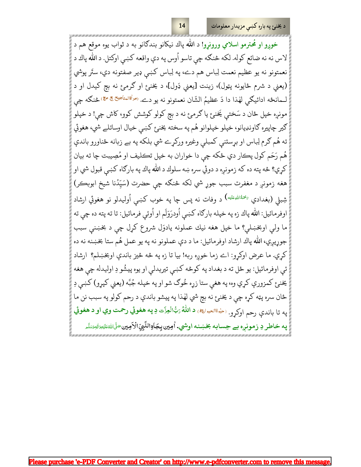14

خوږو او مُحترمو اسلامي ورونړو! د الله پاك نيكانو بندګانو به د ثواب يوه موقع هم د لاس نه نه ضائع كوله. لكه څنگه چي تاسو اُوس په دې واقعه كښي اوكتل. د الله پاك د نعمتونو نه يو عظيم نعمت لِباس هم دے، په لِباس كښې ډير صفتونه دي، ستَر پوشي (يعني د شرم ځايونه پټول)، زينت [يعني ډَول]، د يخنئ او ګرمئ نه بچ کيدل او د لـمانځه ادائيګي لهٰذا دا دَ عظيمُ الشّان نعمتونو نه يو دے. <sup>(مراقالمناجيح</sup> ٿه ٿا، څنګه چې مونږه خپل ځان د سَختې يَخنئ يا ګرمئ نه د بچ کولو کوشش کوو، کاش چې! د خپلو ګير چاپيره ګاونډيانو، خپلو خپلوانو هُم په سخته يخنئ کښي خيال اوساتلے شي، هغوئي ته هُم ګرم لِباس او بړستنې کمبلې وغیره ورکړے شي بلکه په بے زبانه ځناورو باندې هُم رَحَم کول پڪار دي ځکه چې دا خواران به خپل تڪليف او مُصِيبت چا ته بيان کړي؟ څه پته ده که زمونږه د دوئي سره ښه سلوك د الله پاك په بارګاه کښې قبول شي او هغه زمونږ د مغفرت سبب جوړ شي لکه څنګه چې حضرت (سَيِّدُنا شيخ ابوبڪر) شِبلي (بغدادي <sup>پختهٔاللهِءَليْه) د وفات نه پس چا په خوب کښې اُوليدلو نو هغوئي ارشاد</sup> اوفرمائيل: الله پاك زه په خپله بارګاه كښي اُودرَوَلَم او اُوئى فرمائيل: تا ته پته ده چي ته ما ولي اوبخښلي؟ ما خپل هغه نيك عملونه يادوَل شروع كړل چې د بخښنې سبب جوړيږي، الله پاك ارشاد اوفرمائيل: ما د دې عملونو نه په يو عمل هُم ستا بخښنه نه ده كري. ما عرض اوكرو: اے زما خوره ربه! بيا تا زه په څه څيز باندې اوبخښلم؟ ارشاد ئې اوفرمائيل: يو ځل ته د بغداد په كوڅه كښې تيريدلې او يوه پيشُو دِ اوليدله چې هغه يخنئ کمزورې کړي وه، په هغې ستا زړه خُوګ شو او په خپله جُبَّه (يعني کپړو) کښې دِ ځان سره پټه کړه چې د يخنئ نه بچ شي لهذا په پيشو باندې د رحم کولو په سبب نن ما په تا باندې رحم اوکړو. ‹ح<sup>یوةالحیوا</sup>»، د اللّٰهُ <sub>کَ</sub>بُّالُعِزَّت دِ په هغوئي رحمت وي او د هغوئي په خاطر دِ زمونږه بے حِسابه بخښنه اوشي. اُمِين بِجَاوِالنَّبِيِّ الْأَمِين صَلَّاللهُءَتِمِوَالِهِرَسَّهِ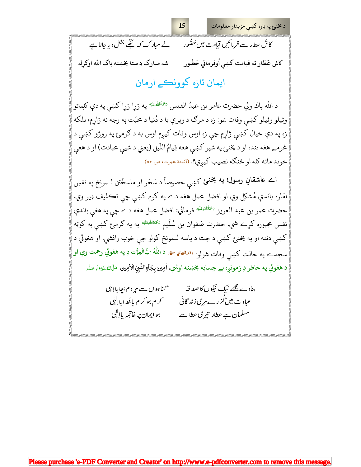کاش عطار سے فرمائیں قیامت میں حُضَور ہے لے مبارک کہ تھے بخش دیاجاتا ہے كاش عَطّار ته قيامت كښى اُوفرمائي حُضُور شه مبارک دِ ستا بخښنه پاک الله اوکړله ایمان تازہ کوونکے ارمان

15

د الله پاك ولي حضرت عامر بن عبدُ القيس <sup>پختڤالڤيقليه</sup> په ژړا ژړا كښې په دې كلِماتو وئيلو وئيلو كښې وفات شو: زه د مرګ د ويرې يا د دُنيا د محبّت په وجه نه ژاړم، بلكه زه په دې خيال کښې ژاړم چې زه اوس وفات کيږم اوس به د ګرمئ په روژو کښې د غرمے هغه تنده او د يخنئ په شپو كښې هغه قِيامُ اللّيل (يعني د شپې عبادت) او د هغې خوند ماته كله او څنگه نصيب كيږي؟. (آئينهٔ عبرت، ص ٥٣)

امے عاشقانِ رسول! په یخنئ کښې خصوصاً د سَحَر او ماسخُتن لــمونځ په نفسِ امّاره باندې مُشكِل وي او افضل عمل هغه دے په كوم كښې چې تكليف ډير وي. حضرت عمر بن عبد العزيز <sup>پخمَةُاللهِءَنيَه فرمائي: افضل عمل هغه دے چي په هغي باندې</sup> نفس مجبوره کړے شي. حضرت صَفوان بن سُلَيم <sup>پختڤالڤيځَن</sub>يه په ګرمۍ کښې په کوټه</sup> کښې دننه او په يخنئ کښې د چت د پاسه لـمونځ کولو چې خوب رانشي. او هغوئي د سجدے په حالت کښې وفات شولو<sup>. ر</sup>ن<sup>راله</sup>ليَّ هِ، د اللّٰهُ رَبُّالُعِزَّت دِ په هغوئي رحمت وي او د هغوئي په خاطر دِ زمونږه بے حِسابه بخښنه اوشي. اُمِين بِجَاوالنَّبِيِّ الْأَمِين صَلَّاللهُ عَلَيْهِ البَيْمَ

بنادے مجھے نیک نیکوں کا صدقہ <sup>س</sup>مناہوں سے م<sub>ی</sub>ر دم بچا پال<sup>ا</sup>ہی عباد ت میں *گز رے م<sub>ر</sub> ی زند* گانی کرم ہو کرم ماجُدا بااِلٖی ہو ایمان پر خاتمہ باالہی مسلمان ہے عطار تیر کی عطا سے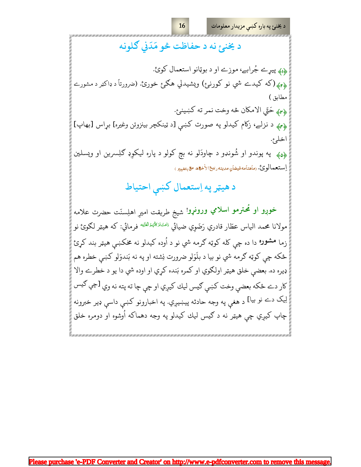د يخنئ په باره کښې مزيدار معلومات

د يخنئ نه د حفاظت څو مَدَني گلونه دا؛ پيړے جُرابے، موزے او د بوټانو استعمال كوئ. پهه (که کيدے شي نو کورنئ) ويشيدلي هگئ خورئ. (ضرورتاً د ډاکټر د مشورے مطابق ) ﴿<sub>٣﴾</sub> حَتّي الامكان څه وخت نمر ته كښينئ. پهه د نزلے، زكام كيدلو په صورت كښې [د ټينكچر بينزوئن وغيره] بړاس [بهاپ] اخلي. <sub>ه</sub>و<sub>ک</sub>ه په پوندو او شُونډو د چاودَلو نه بچ کولو د پاره ليکوِډ ګلِسرين او ويسلين ٳڛتعمالوئ. رماهنامه فيضانٍ مدينه ربيع الأخوّه. ٷيتغيير )

د هيټر په اِستعمال کښې احتياط

خوږو او مُحترمو اسلامي ورونړو! شيخ طريقت اميرِ اهلِسنّت حضرت علامه مولانا محمد الياس عطّار قادري رَضَوِي ضيائي <sup>زامتُ%اڤهدْالقلِيّه</sup> فرمائي: که هيټر لګوئ نو زما م**شوره** دا ده چې کله کوټه ګرمه شي نو د اُوده کیدلو نه مخکښې هیټر بند کړئ ځکه چي کوټه ګرمه شي نو بيا د بلَوَلو ضرورت نِشته او په نه بَندوَلو کښي خطره هم ډيره ده. بعضې خلق هيټر اولګوي او کمره بَنده کړي او اوده شي دا يو د خطرے والا كار دے ځكه بعضي وخت كښې كيس ليك كيږي او چې چا ته پته نه وي [چې <sup>ګيس</sup> لِيک دے نو بيا] د هغې په وجه حادثه پيښيږي. په اخبارونو کښې داسې ډير خبرونه چاپ کيږي چې هيټر نه د ګيس ليك کيدلو په وجه دهماکه اُوشوه او دومره خلق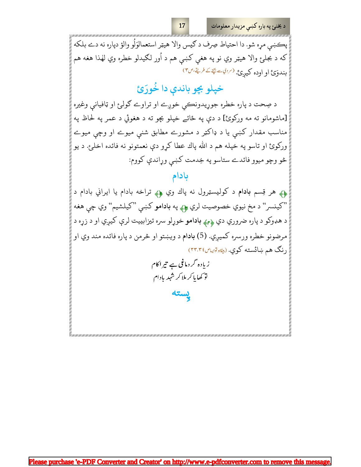پڪښي مړه شو. دا احتياط صِرف د ګيس والا هيټر استعمالوَلُو والؤ دپاره نه دے بلكه که د بجلرع والا هيټر وي نو په هغې کښې هم د اُور لګيدلو خطره وي لهٰذا هغه هم بندوَئ او اوده کیږئ (برويات پچ کے طریق ص

17

### خپلو بچو باندې دا خُورَئ

د صِحت د پاره خطره جوړيدونڪي خوږے او تراوے ګولئ او ټافيانې وغيره [ماشومانو ته مه ورکوئ] د دې په ځائے خپلو بچو ته د هغوئي د عمر په لحاظ په مناسب مقدار کښې یا د ډاکټر د مشورے مطابق شنې میوے او وچې میوے ورکوئ او تاسو په خپله هم د الله پاك عطا كړو دې نعمتونو نه فائده اخلئ. د يو څو وچو ميوو فائدے ستاسو په خِدمت كښى وړاندې كووم:

#### بادام

ږ» هر قِسم **بادام** د کوليسټرول نه پاك وي ږ» تراخه بادام يا ايراني بادام د "کينسر" د مخ نيوي خصوصيت لري چه په بادامو کښې "کيلشيم" وي چې هغه د هډوکو د پاره ضروري دي <sub>۲۹</sub>۵ **بادامو** خوړلو سره تيزابييت لرې کيږي او د زړه د مرضونو خطره ورسره كميري. (5) بادام د ويښتو او څرمن د پاره فائده مند وي او رنگ هم ښائسته کوي. (بي<sub>ثا</sub>برت<sub>ال</sub>ياس٢٣.٣٤)

زیادہ گر دماغی ہے تیراکام تو کھا پا کر ملا کر شہر یادام

پسته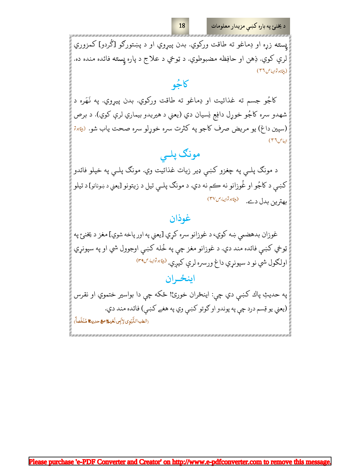د يخنئ په باره کښې مزيدار معلومات

پسته زړه او دِماغو ته طاقت ورکوي. بدن پيړوي او د پښتورګو [گردو] کمزوري لرې کوي. ذِهن او حافِظه مضبوطوي. د ټوخي د علاج د پاره پٍسته فائده منده ده. (بېيئاہو تواپياص ٣٦)

كالحُه

كاجُو جسم ته غذائيت او دِماغو ته طاقت وركوي. بدن پيړوي. په نَهَره د شهدو سره كاجُو خوړل دافِع نِسيان دي (يعني د هيريدو بيماري لرې كوي). د برص (سپين داغ) يو مريض صرف كاجو په كثرت سره خوړلو سره صحت ياب شو. (<u>پ</u>يهير يباص ٣٦)

## مونگ پلـي

د مونګ پلـي په چغزو کښې ډير زيات غذائيت وي. مونګ پلـي په خپلو فائدو کښي د کاجُو او غُوزانو نه ڪم نه دي. د مونګ پلـي تيل د زيتونو [يعني د ښونانو] د تيلو (بيثابو تواييا، ص ٣٧) بهترين بدل دے.

#### غوذان

غوزان بدهضمي ښه كوي، د غوزانو سره كړي [يعني په اور پاخه شوي] مغز د يخنئ په ټوخي کښې فائده مند دي. د غوزانو مغز چې په خُله کښې اوجوول شي او په سپونړي اولګول شي نو د سپونړي داغ ورسره لرې کيږي. <sup>(بي</sup>ابر<sup>تو</sup>ا<sup>يل ص</sup>۳۹)

### اينځـران

په حديثِ پاك كښې دي چې: اينځران خورئ! ځكه چې دا بواسير ختموي او نقرس (يعني يو قِسم درد چې په پوندو او ګوتو کښې وي په هغے کښې) فائده مند دي. (الطب النَّبَوي لِإِبِي نُعَيْمٌ ص حديثٌ مُلَخَّصاً)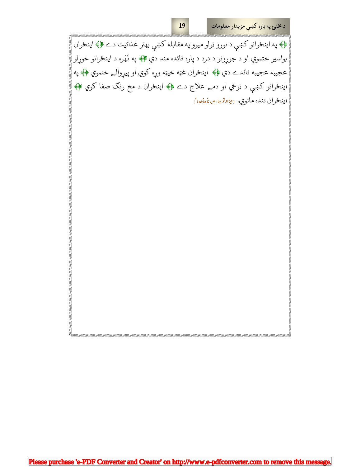د يخنئ په باره کښې مزيدار معلومات

۷۴ په اينځرانو کښې د نورو ټولو ميوو په مقابله کښې بهتر غذائيت دے ۴۴ اينځران بواسير ختموي او د جوړونو د درد د پاره فائده مند دي ۴۴ په نَهَره د اينځرانو خوړلو عجيبه عجيبه فائدے دي ۲٠ اينځران غټه خيټه وړه كوي او پيړوالے ختموي ۲۰ په اينځرانو کښې د ټوخي او دمے علاج دے ﴿﴾ اينځران د مخ رنګ صفا کوي ﴿﴾ اينځر ان تنده ماتوي. (بيڤابوتواييا ص تا ماخوداً)